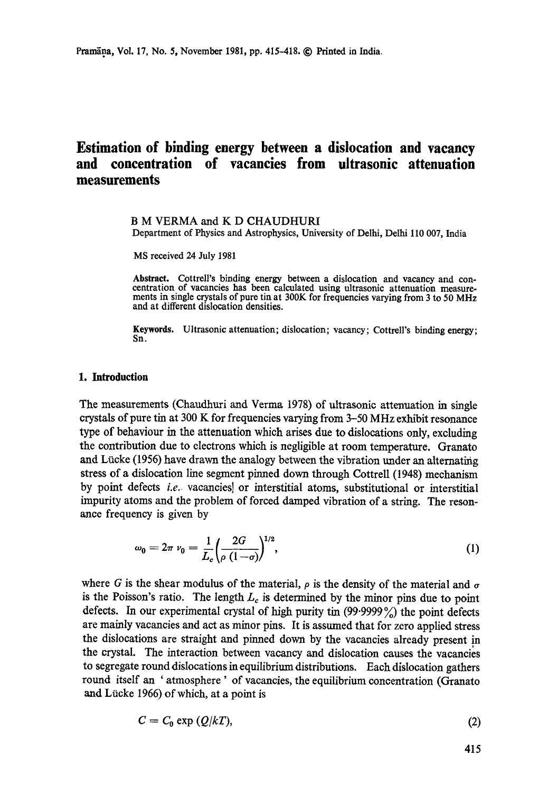# **Estimation of binding energy between a dislocation and vacancy and concentration of vacancies from ultrasonic attenuation measurements**

# B M VERMA and K D CHAUDHURI

Department of Physics and Astrophysics, University of Delhi, Delhi 110 007, India

MS received 24 July 1981

**Abstract.** Cottrell's binding energy between a dislocation and vacancy and concentration of vacancies has been calculated using ultrasonic attenuation measurements in single crystals of pure **tin at** 300K for frequencies varying from 3 to 50 MHz and at different dislocation densities.

**Keywords. Ultrasonic attenuation;** dislocation; vacancy; Cottrell's binding energy; Sn.

### **1. Introduction**

The measurements (Chaudhuri and Verma 1978) of ultrasonic attenuation in single crystals of pure tin at 300 K for frequencies varying from 3-50 MHz exhibit resonance type of behaviour in the attenuation which arises due to dislocations only, excluding the contribution due to electrons which is negligible at room temperature. Granato and Liicke (1956) have drawn the analogy between the vibration under an alternating stress of a dislocation line segment pinned down through Cottrell (1948) mechanism by point defects *i.e.* vacancies] or interstitial atoms, substitutional or interstitial impurity atoms and the problem of forced damped vibration of a string. The resonance frequency is given by

$$
\omega_0 = 2\pi \nu_0 = \frac{1}{L_c} \left( \frac{2G}{\rho (1 - \sigma)} \right)^{1/2},\tag{1}
$$

where G is the shear modulus of the material,  $\rho$  is the density of the material and  $\sigma$ is the Poisson's ratio. The length  $L_c$  is determined by the minor pins due to point defects. In our experimental crystal of high purity tin *(99.9999 %)* the point defects are mainly vacancies and act as minor pins. It is assumed that for zero applied stress the dislocations are straight and pinned down by the vacancies already present in the crystal. The interaction between vacancy and dislocation causes the vacancies to segregate round dislocations in equilibrium distributions. Each dislocation gathers round itself an 'atmosphere' of vacancies, the equilibrium concentration (Granato and Lücke 1966) of which, at a point is

$$
C = C_0 \exp(Q/kT), \tag{2}
$$

415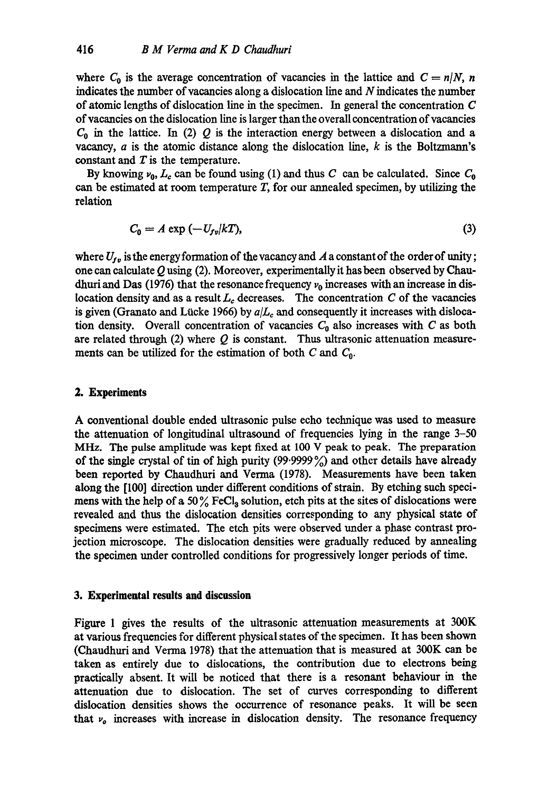where  $C_0$  is the average concentration of vacancies in the lattice and  $C = n/N$ , *n* indicates the number of vacancies along a dislocation line and  $N$  indicates the number of atomic lengths of dislocation line in the specimen. In general the concentration C of vacancies on the dislocation line is larger than the overall concentration of vacancies  $C_0$  in the lattice. In (2) Q is the interaction energy between a dislocation and a vacancy,  $a$  is the atomic distance along the dislocation line,  $k$  is the Boltzmann's constant and  $T$  is the temperature.

By knowing  $\nu_0, L_c$  can be found using (1) and thus C can be calculated. Since  $C_0$ can be estimated at room temperature  $T$ , for our annealed specimen, by utilizing the relation

$$
C_0 = A \exp\left(-U_{fv}/kT\right),\tag{3}
$$

where  $U_{fv}$  is the energy formation of the vacancy and  $A$  a constant of the order of unity; one can calculate  $Q$  using (2). Moreover, experimentally it has been observed by Chaudhuri and Das (1976) that the resonance frequency  $\nu_0$  increases with an increase in dislocation density and as a result  $L_c$  decreases. The concentration C of the vacancies is given (Granato and Lücke 1966) by  $a/L_c$  and consequently it increases with dislocation density. Overall concentration of vacancies  $C_0$  also increases with C as both are related through (2) where  $Q$  is constant. Thus ultrasonic attenuation measurements can be utilized for the estimation of both C and  $C_0$ .

## **2. Experiments**

A conventional double ended ultrasonic pulse echo technique was used to measure the attenuation of longitudinal ultrasound of frequencies lying in the range 3-50 MHz. The pulse amplitude was kept fixed at 100 V peak to peak. The preparation of the single crystal of tin of high purity  $(99.9999\%)$  and other details have already been reported by Chaudhuri and Verma (1978). Measurements have been taken along the [100] direction under different conditions of strain. By etching such specimens with the help of a 50% FeCl<sub>3</sub> solution, etch pits at the sites of dislocations were revealed and thus the dislocation densities corresponding to any physical state of specimens were estimated. The etch pits were observed under a phase contrast projection microscope. The dislocation densities were gradually reduced by annealing the specimen under controlled conditions for progressively longer periods of time.

### **3. Experimental results and discussion**

Figure 1 gives the results of the ultrasonic attenuation measurements at 300K at various frequencies for different physical states of the specimen. It has been shown (Chaudhuri and Verma 1978) that the attenuation that is measured at 300K can be taken as entirely due to dislocations, the contribution due to electrons being practically absent. It will be noticed that there is a resonant behaviour in the attenuation due to dislocation. The set of curves corresponding to different dislocation densities shows the occurrence of resonance peaks. It will be seen that  $v<sub>o</sub>$  increases with increase in dislocation density. The resonance frequency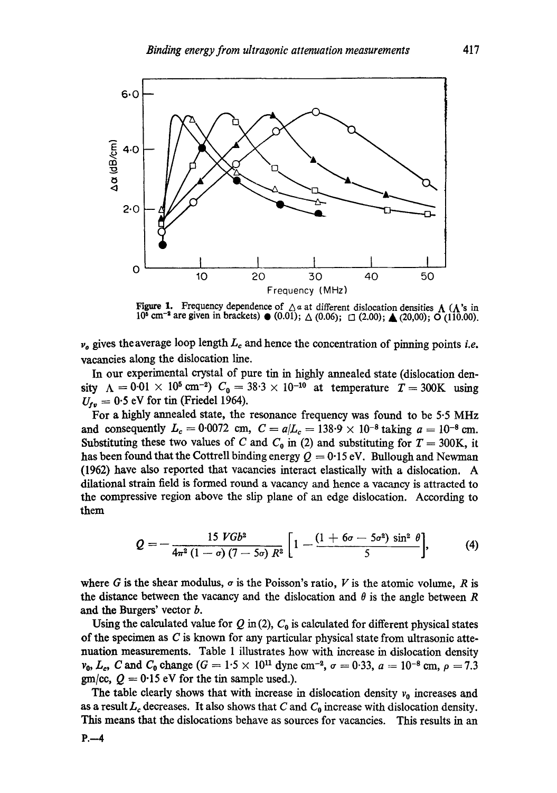

Figure 1. Frequency dependence of  $\Lambda$  a at different dislocation densities  $\Lambda$  ( $\Lambda$ 's in  $10^5$  cm<sup>-2</sup> are given in brackets)  $\bullet$  (0.01);  $\triangle$  (0.06);  $\Box$  (2.00);  $\triangle$  (20,00); O (110.00).

 $\nu<sub>a</sub>$  gives the average loop length  $L<sub>c</sub>$  and hence the concentration of pinning points *i.e.* vacancies along the dislocation line.

In our experimental crystal of pure tin in highly annealed state (dislocation density  $\Lambda = 0.01 \times 10^5$  cm<sup>-2</sup>)  $C_0 = 38.3 \times 10^{-10}$  at temperature  $T = 300$ K using  $U_{\text{fv}} = 0.5$  eV for tin (Friedel 1964).

For a highly annealed state, the resonance frequency was found to be 5.5 MHz and consequently  $L_c = 0.0072$  cm,  $C = a/L_c = 138.9 \times 10^{-8}$  taking  $a = 10^{-8}$  cm. Substituting these two values of C and  $C_0$  in (2) and substituting for  $T = 300$ K, it has been found that the Cottrell binding energy  $Q = 0.15$  eV. Bullough and Newman (1962) have also reported that vacancies interact elastically with a dislocation. A dilational strain field is formed round a vacancy and hence a vacancy is attracted to the compressive region above the slip plane of an edge dislocation. According to them

$$
Q=-\frac{15 VGb^2}{4\pi^2 (1-\sigma)(7-5\sigma) R^2}\bigg[1-\frac{(1+6\sigma-5\sigma^2)\sin^2\theta}{5}\bigg],\qquad (4)
$$

where G is the shear modulus,  $\sigma$  is the Poisson's ratio, V is the atomic volume, R is the distance between the vacancy and the dislocation and  $\theta$  is the angle between R and the Burgers' vector b.

Using the calculated value for  $Q$  in (2),  $C_0$  is calculated for different physical states of the specimen as C is known for any particular physical state from ultrasonic attenuation measurements. Table 1 illustrates how with increase in dislocation density  $v_0, L_c, C$  and  $C_0$  change  $(G = 1.5 \times 10^{11} \text{ dyne cm}^{-2}, \sigma = 0.33, a = 10^{-8} \text{ cm}, \rho = 7.3$ gm/cc,  $Q = 0.15$  eV for the tin sample used.).

The table clearly shows that with increase in dislocation density  $v_0$  increases and as a result  $L_c$  decreases. It also shows that C and  $C_0$  increase with dislocation density. This means that the dislocations behave as sources for vacancies. This results in an